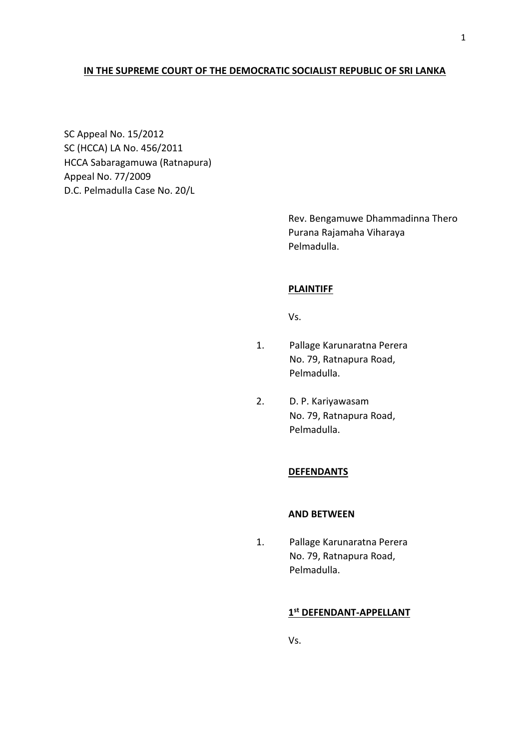## **IN THE SUPREME COURT OF THE DEMOCRATIC SOCIALIST REPUBLIC OF SRI LANKA**

SC Appeal No. 15/2012 SC (HCCA) LA No. 456/2011 HCCA Sabaragamuwa (Ratnapura) Appeal No. 77/2009 D.C. Pelmadulla Case No. 20/L

> Rev. Bengamuwe Dhammadinna Thero Purana Rajamaha Viharaya Pelmadulla.

## **PLAINTIFF**

Vs.

- 1. Pallage Karunaratna Perera No. 79, Ratnapura Road, Pelmadulla.
- 2. D. P. Kariyawasam No. 79, Ratnapura Road, Pelmadulla.

## **DEFENDANTS**

## **AND BETWEEN**

1. Pallage Karunaratna Perera No. 79, Ratnapura Road, Pelmadulla.

## **1 st DEFENDANT-APPELLANT**

Vs.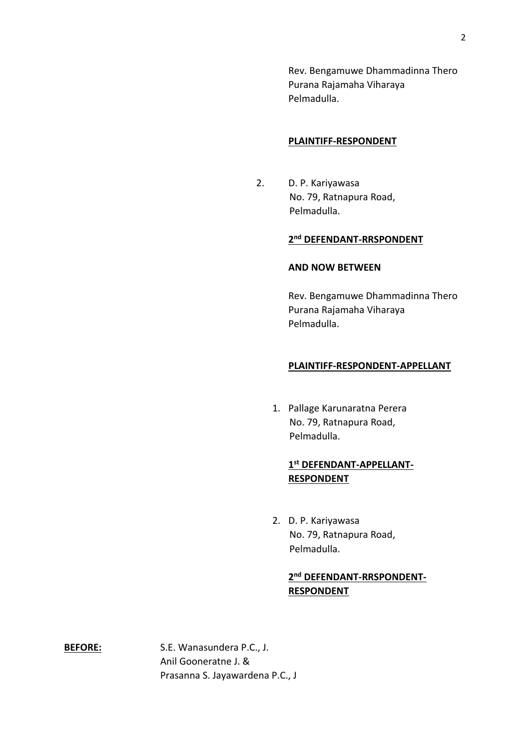Rev. Bengamuwe Dhammadinna Thero Purana Rajamaha Viharaya Pelmadulla.

#### **PLAINTIFF-RESPONDENT**

2. D. P. Kariyawasa No. 79, Ratnapura Road, Pelmadulla.

## **2 nd DEFENDANT-RRSPONDENT**

#### **AND NOW BETWEEN**

Rev. Bengamuwe Dhammadinna Thero Purana Rajamaha Viharaya Pelmadulla.

## **PLAINTIFF-RESPONDENT-APPELLANT**

1. Pallage Karunaratna Perera No. 79, Ratnapura Road, Pelmadulla.

# **1 st DEFENDANT-APPELLANT-RESPONDENT**

2. D. P. Kariyawasa No. 79, Ratnapura Road, Pelmadulla.

# **2 nd DEFENDANT-RRSPONDENT-RESPONDENT**

**BEFORE:** S.E. Wanasundera P.C., J. Anil Gooneratne J. & Prasanna S. Jayawardena P.C., J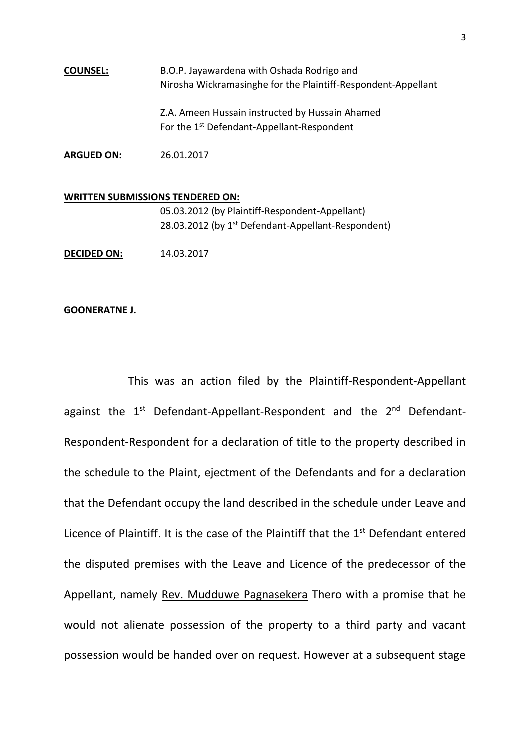**COUNSEL:** B.O.P. Jayawardena with Oshada Rodrigo and Nirosha Wickramasinghe for the Plaintiff-Respondent-Appellant Z.A. Ameen Hussain instructed by Hussain Ahamed For the 1<sup>st</sup> Defendant-Appellant-Respondent

**ARGUED ON:** 26.01.2017

# **WRITTEN SUBMISSIONS TENDERED ON:** 05.03.2012 (by Plaintiff-Respondent-Appellant) 28.03.2012 (by 1<sup>st</sup> Defendant-Appellant-Respondent) **DECIDED ON:** 14.03.2017

#### **GOONERATNE J.**

This was an action filed by the Plaintiff-Respondent-Appellant against the 1<sup>st</sup> Defendant-Appellant-Respondent and the 2<sup>nd</sup> Defendant-Respondent-Respondent for a declaration of title to the property described in the schedule to the Plaint, ejectment of the Defendants and for a declaration that the Defendant occupy the land described in the schedule under Leave and Licence of Plaintiff. It is the case of the Plaintiff that the  $1<sup>st</sup>$  Defendant entered the disputed premises with the Leave and Licence of the predecessor of the Appellant, namely Rev. Mudduwe Pagnasekera Thero with a promise that he would not alienate possession of the property to a third party and vacant possession would be handed over on request. However at a subsequent stage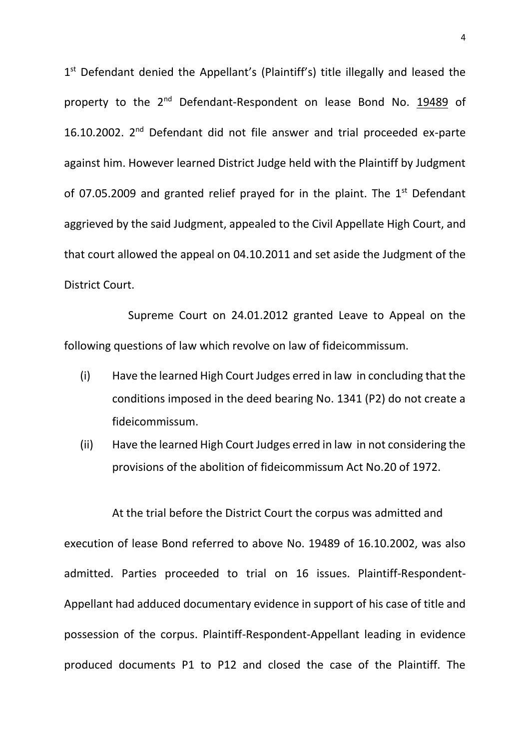1<sup>st</sup> Defendant denied the Appellant's (Plaintiff's) title illegally and leased the property to the 2<sup>nd</sup> Defendant-Respondent on lease Bond No. 19489 of 16.10.2002. 2nd Defendant did not file answer and trial proceeded ex-parte against him. However learned District Judge held with the Plaintiff by Judgment of 07.05.2009 and granted relief prayed for in the plaint. The  $1<sup>st</sup>$  Defendant aggrieved by the said Judgment, appealed to the Civil Appellate High Court, and that court allowed the appeal on 04.10.2011 and set aside the Judgment of the District Court.

Supreme Court on 24.01.2012 granted Leave to Appeal on the following questions of law which revolve on law of fideicommissum.

- (i) Have the learned High Court Judges erred in law in concluding that the conditions imposed in the deed bearing No. 1341 (P2) do not create a fideicommissum.
- (ii) Have the learned High Court Judges erred in law in not considering the provisions of the abolition of fideicommissum Act No.20 of 1972.

At the trial before the District Court the corpus was admitted and execution of lease Bond referred to above No. 19489 of 16.10.2002, was also admitted. Parties proceeded to trial on 16 issues. Plaintiff-Respondent-Appellant had adduced documentary evidence in support of his case of title and possession of the corpus. Plaintiff-Respondent-Appellant leading in evidence produced documents P1 to P12 and closed the case of the Plaintiff. The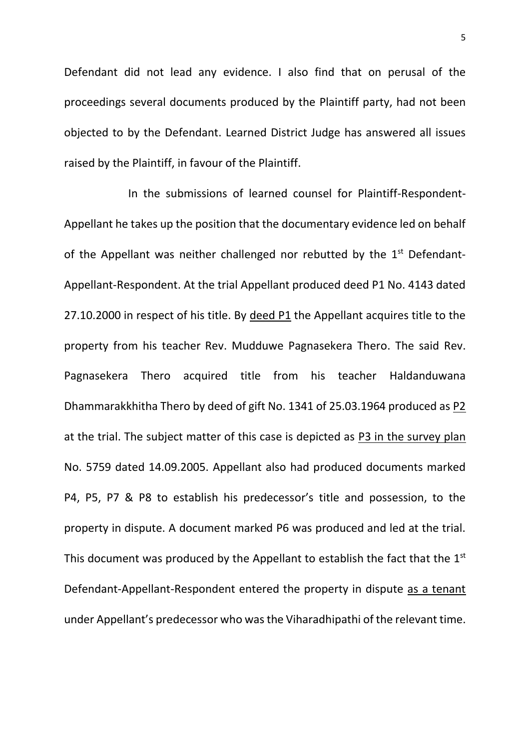Defendant did not lead any evidence. I also find that on perusal of the proceedings several documents produced by the Plaintiff party, had not been objected to by the Defendant. Learned District Judge has answered all issues raised by the Plaintiff, in favour of the Plaintiff.

In the submissions of learned counsel for Plaintiff-Respondent-Appellant he takes up the position that the documentary evidence led on behalf of the Appellant was neither challenged nor rebutted by the  $1<sup>st</sup>$  Defendant-Appellant-Respondent. At the trial Appellant produced deed P1 No. 4143 dated 27.10.2000 in respect of his title. By deed P1 the Appellant acquires title to the property from his teacher Rev. Mudduwe Pagnasekera Thero. The said Rev. Pagnasekera Thero acquired title from his teacher Haldanduwana Dhammarakkhitha Thero by deed of gift No. 1341 of 25.03.1964 produced as P2 at the trial. The subject matter of this case is depicted as P3 in the survey plan No. 5759 dated 14.09.2005. Appellant also had produced documents marked P4, P5, P7 & P8 to establish his predecessor's title and possession, to the property in dispute. A document marked P6 was produced and led at the trial. This document was produced by the Appellant to establish the fact that the 1<sup>st</sup> Defendant-Appellant-Respondent entered the property in dispute as a tenant under Appellant's predecessor who was the Viharadhipathi of the relevant time.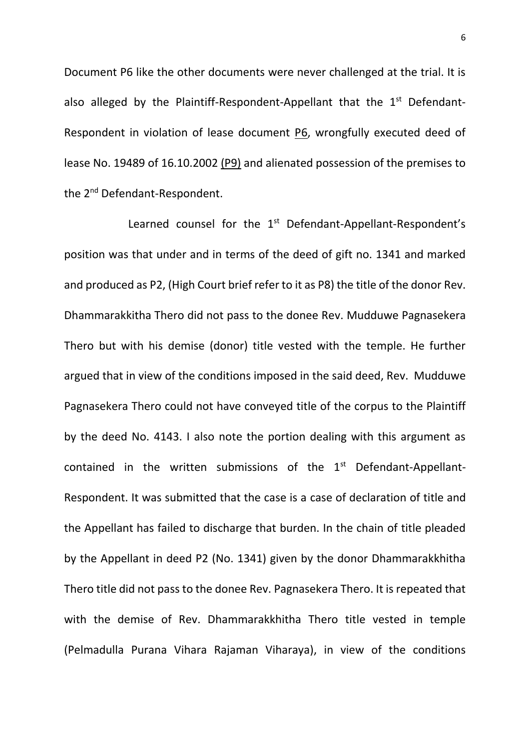Document P6 like the other documents were never challenged at the trial. It is also alleged by the Plaintiff-Respondent-Appellant that the  $1<sup>st</sup>$  Defendant-Respondent in violation of lease document P6, wrongfully executed deed of lease No. 19489 of 16.10.2002 (P9) and alienated possession of the premises to the 2<sup>nd</sup> Defendant-Respondent.

Learned counsel for the 1<sup>st</sup> Defendant-Appellant-Respondent's position was that under and in terms of the deed of gift no. 1341 and marked and produced as P2, (High Court brief refer to it as P8) the title of the donor Rev. Dhammarakkitha Thero did not pass to the donee Rev. Mudduwe Pagnasekera Thero but with his demise (donor) title vested with the temple. He further argued that in view of the conditions imposed in the said deed, Rev. Mudduwe Pagnasekera Thero could not have conveyed title of the corpus to the Plaintiff by the deed No. 4143. I also note the portion dealing with this argument as contained in the written submissions of the  $1<sup>st</sup>$  Defendant-Appellant-Respondent. It was submitted that the case is a case of declaration of title and the Appellant has failed to discharge that burden. In the chain of title pleaded by the Appellant in deed P2 (No. 1341) given by the donor Dhammarakkhitha Thero title did not pass to the donee Rev. Pagnasekera Thero. It is repeated that with the demise of Rev. Dhammarakkhitha Thero title vested in temple (Pelmadulla Purana Vihara Rajaman Viharaya), in view of the conditions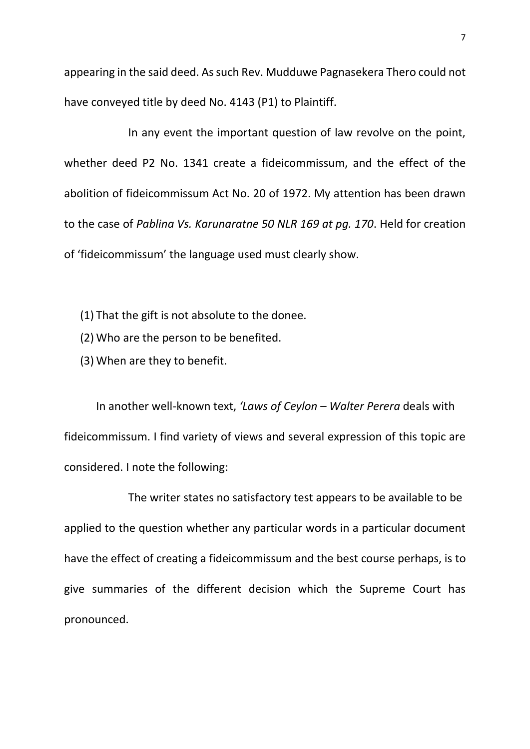appearing in the said deed. As such Rev. Mudduwe Pagnasekera Thero could not have conveyed title by deed No. 4143 (P1) to Plaintiff.

In any event the important question of law revolve on the point, whether deed P2 No. 1341 create a fideicommissum, and the effect of the abolition of fideicommissum Act No. 20 of 1972. My attention has been drawn to the case of *Pablina Vs. Karunaratne 50 NLR 169 at pg. 170*. Held for creation of 'fideicommissum' the language used must clearly show.

(1) That the gift is not absolute to the donee.

- (2) Who are the person to be benefited.
- (3) When are they to benefit.

In another well-known text, *'Laws of Ceylon – Walter Perera* deals with fideicommissum. I find variety of views and several expression of this topic are considered. I note the following:

The writer states no satisfactory test appears to be available to be applied to the question whether any particular words in a particular document have the effect of creating a fideicommissum and the best course perhaps, is to give summaries of the different decision which the Supreme Court has pronounced.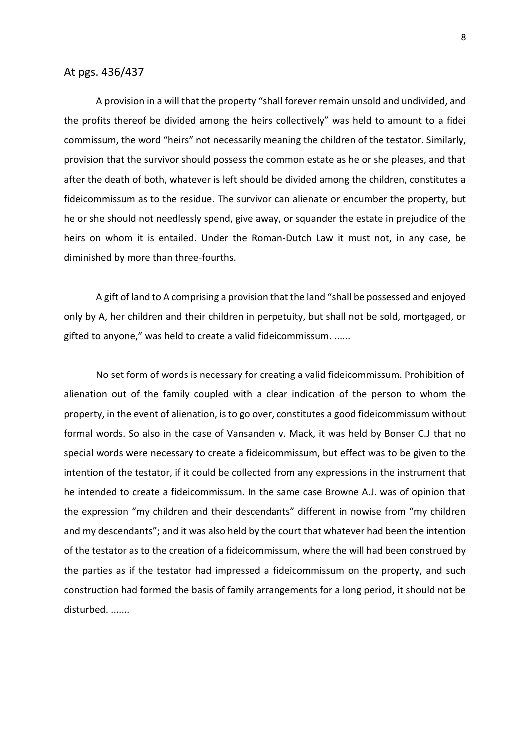## At pgs. 436/437

A provision in a will that the property "shall forever remain unsold and undivided, and the profits thereof be divided among the heirs collectively" was held to amount to a fidei commissum, the word "heirs" not necessarily meaning the children of the testator. Similarly, provision that the survivor should possess the common estate as he or she pleases, and that after the death of both, whatever is left should be divided among the children, constitutes a fideicommissum as to the residue. The survivor can alienate or encumber the property, but he or she should not needlessly spend, give away, or squander the estate in prejudice of the heirs on whom it is entailed. Under the Roman-Dutch Law it must not, in any case, be diminished by more than three-fourths.

A gift of land to A comprising a provision that the land "shall be possessed and enjoyed only by A, her children and their children in perpetuity, but shall not be sold, mortgaged, or gifted to anyone," was held to create a valid fideicommissum. ......

No set form of words is necessary for creating a valid fideicommissum. Prohibition of alienation out of the family coupled with a clear indication of the person to whom the property, in the event of alienation, is to go over, constitutes a good fideicommissum without formal words. So also in the case of Vansanden v. Mack, it was held by Bonser C.J that no special words were necessary to create a fideicommissum, but effect was to be given to the intention of the testator, if it could be collected from any expressions in the instrument that he intended to create a fideicommissum. In the same case Browne A.J. was of opinion that the expression "my children and their descendants" different in nowise from "my children and my descendants"; and it was also held by the court that whatever had been the intention of the testator as to the creation of a fideicommissum, where the will had been construed by the parties as if the testator had impressed a fideicommissum on the property, and such construction had formed the basis of family arrangements for a long period, it should not be disturbed. .......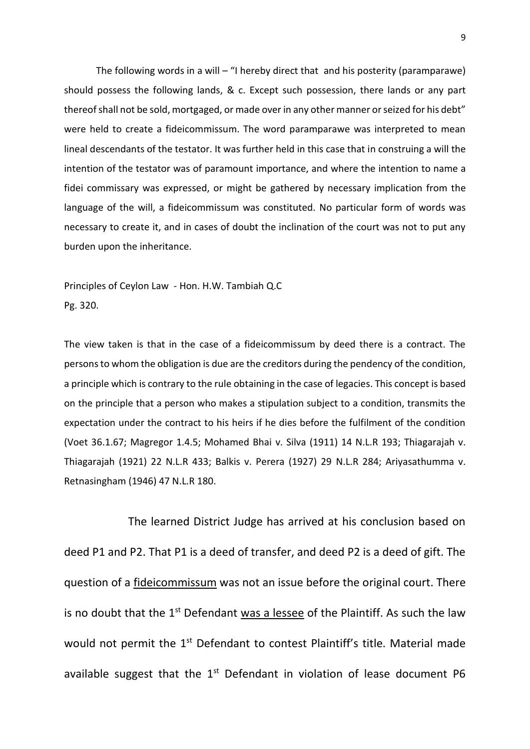The following words in a will – "I hereby direct that and his posterity (paramparawe) should possess the following lands, & c. Except such possession, there lands or any part thereof shall not be sold, mortgaged, or made over in any other manner or seized for his debt" were held to create a fideicommissum. The word paramparawe was interpreted to mean lineal descendants of the testator. It was further held in this case that in construing a will the intention of the testator was of paramount importance, and where the intention to name a fidei commissary was expressed, or might be gathered by necessary implication from the language of the will, a fideicommissum was constituted. No particular form of words was necessary to create it, and in cases of doubt the inclination of the court was not to put any burden upon the inheritance.

Principles of Ceylon Law - Hon. H.W. Tambiah Q.C Pg. 320.

The view taken is that in the case of a fideicommissum by deed there is a contract. The persons to whom the obligation is due are the creditors during the pendency of the condition, a principle which is contrary to the rule obtaining in the case of legacies. This concept is based on the principle that a person who makes a stipulation subject to a condition, transmits the expectation under the contract to his heirs if he dies before the fulfilment of the condition (Voet 36.1.67; Magregor 1.4.5; Mohamed Bhai v. Silva (1911) 14 N.L.R 193; Thiagarajah v. Thiagarajah (1921) 22 N.L.R 433; Balkis v. Perera (1927) 29 N.L.R 284; Ariyasathumma v. Retnasingham (1946) 47 N.L.R 180.

The learned District Judge has arrived at his conclusion based on deed P1 and P2. That P1 is a deed of transfer, and deed P2 is a deed of gift. The question of a fideicommissum was not an issue before the original court. There is no doubt that the  $1<sup>st</sup>$  Defendant was a lessee of the Plaintiff. As such the law would not permit the 1<sup>st</sup> Defendant to contest Plaintiff's title. Material made available suggest that the  $1<sup>st</sup>$  Defendant in violation of lease document P6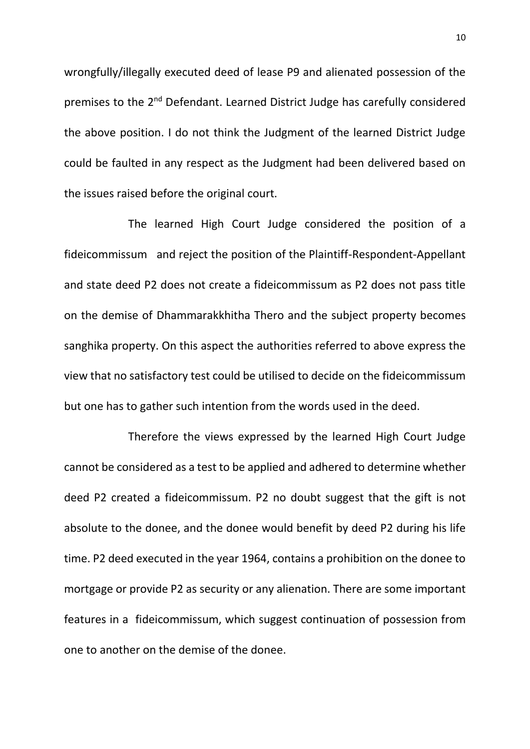wrongfully/illegally executed deed of lease P9 and alienated possession of the premises to the 2nd Defendant. Learned District Judge has carefully considered the above position. I do not think the Judgment of the learned District Judge could be faulted in any respect as the Judgment had been delivered based on the issues raised before the original court.

The learned High Court Judge considered the position of a fideicommissum and reject the position of the Plaintiff-Respondent-Appellant and state deed P2 does not create a fideicommissum as P2 does not pass title on the demise of Dhammarakkhitha Thero and the subject property becomes sanghika property. On this aspect the authorities referred to above express the view that no satisfactory test could be utilised to decide on the fideicommissum but one has to gather such intention from the words used in the deed.

Therefore the views expressed by the learned High Court Judge cannot be considered as a test to be applied and adhered to determine whether deed P2 created a fideicommissum. P2 no doubt suggest that the gift is not absolute to the donee, and the donee would benefit by deed P2 during his life time. P2 deed executed in the year 1964, contains a prohibition on the donee to mortgage or provide P2 as security or any alienation. There are some important features in a fideicommissum, which suggest continuation of possession from one to another on the demise of the donee.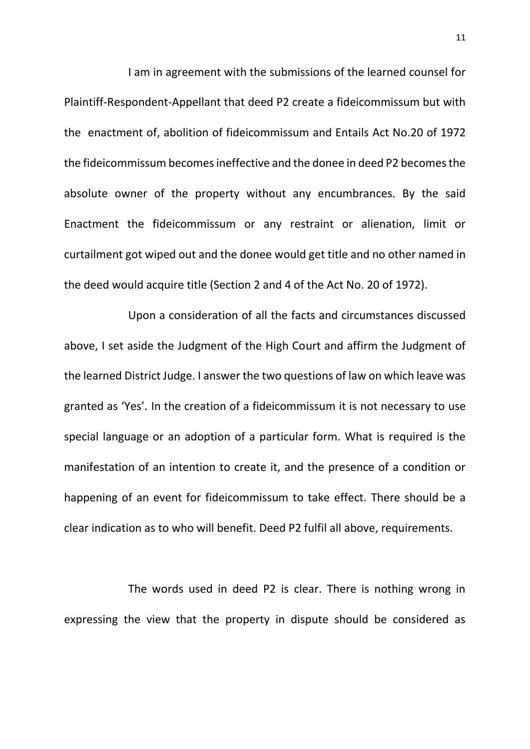I am in agreement with the submissions of the learned counsel for Plaintiff-Respondent-Appellant that deed P2 create a fideicommissum but with the enactment of, abolition of fideicommissum and Entails Act No.20 of 1972 the fideicommissum becomes ineffective and the donee in deed P2 becomes the absolute owner of the property without any encumbrances. By the said Enactment the fideicommissum or any restraint or alienation, limit or curtailment got wiped out and the donee would get title and no other named in the deed would acquire title (Section 2 and 4 of the Act No. 20 of 1972).

Upon a consideration of all the facts and circumstances discussed above, I set aside the Judgment of the High Court and affirm the Judgment of the learned District Judge. I answer the two questions of law on which leave was granted as 'Yes'. In the creation of a fideicommissum it is not necessary to use special language or an adoption of a particular form. What is required is the manifestation of an intention to create it, and the presence of a condition or happening of an event for fideicommissum to take effect. There should be a clear indication as to who will benefit. Deed P2 fulfil all above, requirements.

The words used in deed P2 is clear. There is nothing wrong in expressing the view that the property in dispute should be considered as